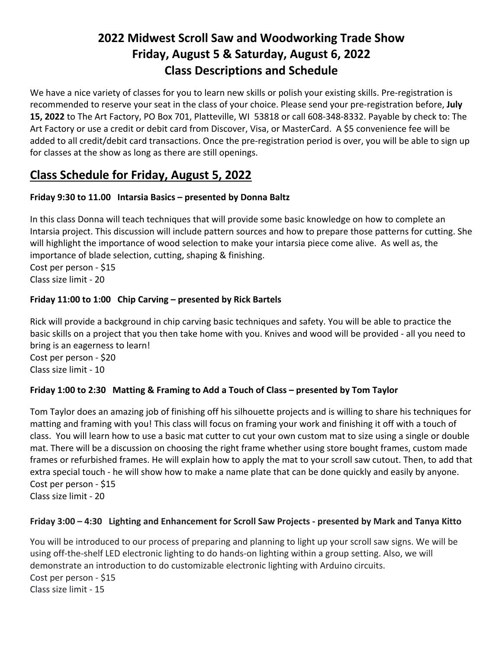# **2022 Midwest Scroll Saw and Woodworking Trade Show Friday, August 5 & Saturday, August 6, 2022 Class Descriptions and Schedule**

We have a nice variety of classes for you to learn new skills or polish your existing skills. Pre-registration is recommended to reserve your seat in the class of your choice. Please send your pre-registration before, **July 15, 2022** to The Art Factory, PO Box 701, Platteville, WI 53818 or call 608-348-8332. Payable by check to: The Art Factory or use a credit or debit card from Discover, Visa, or MasterCard. A \$5 convenience fee will be added to all credit/debit card transactions. Once the pre-registration period is over, you will be able to sign up for classes at the show as long as there are still openings.

# **Class Schedule for Friday, August 5, 2022**

## **Friday 9:30 to 11.00 Intarsia Basics – presented by Donna Baltz**

In this class Donna will teach techniques that will provide some basic knowledge on how to complete an Intarsia project. This discussion will include pattern sources and how to prepare those patterns for cutting. She will highlight the importance of wood selection to make your intarsia piece come alive. As well as, the importance of blade selection, cutting, shaping & finishing. Cost per person - \$15 Class size limit - 20

## **Friday 11:00 to 1:00 Chip Carving – presented by Rick Bartels**

Rick will provide a background in chip carving basic techniques and safety. You will be able to practice the basic skills on a project that you then take home with you. Knives and wood will be provided - all you need to bring is an eagerness to learn! Cost per person - \$20 Class size limit - 10

## **Friday 1:00 to 2:30 Matting & Framing to Add a Touch of Class – presented by Tom Taylor**

Tom Taylor does an amazing job of finishing off his silhouette projects and is willing to share his techniques for matting and framing with you! This class will focus on framing your work and finishing it off with a touch of class. You will learn how to use a basic mat cutter to cut your own custom mat to size using a single or double mat. There will be a discussion on choosing the right frame whether using store bought frames, custom made frames or refurbished frames. He will explain how to apply the mat to your scroll saw cutout. Then, to add that extra special touch - he will show how to make a name plate that can be done quickly and easily by anyone. Cost per person - \$15 Class size limit - 20

## **Friday 3:00 – 4:30 Lighting and Enhancement for Scroll Saw Projects - presented by Mark and Tanya Kitto**

You will be introduced to our process of preparing and planning to light up your scroll saw signs. We will be using off-the-shelf LED electronic lighting to do hands-on lighting within a group setting. Also, we will demonstrate an introduction to do customizable electronic lighting with Arduino circuits. Cost per person - \$15 Class size limit - 15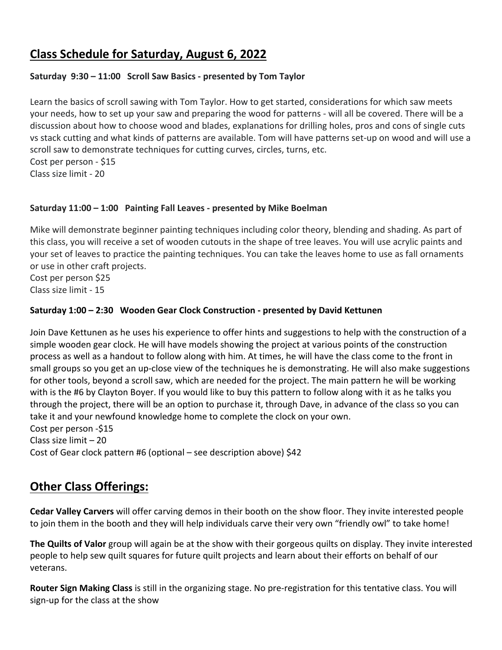## **Class Schedule for Saturday, August 6, 2022**

## **Saturday 9:30 – 11:00 Scroll Saw Basics - presented by Tom Taylor**

Learn the basics of scroll sawing with Tom Taylor. How to get started, considerations for which saw meets your needs, how to set up your saw and preparing the wood for patterns - will all be covered. There will be a discussion about how to choose wood and blades, explanations for drilling holes, pros and cons of single cuts vs stack cutting and what kinds of patterns are available. Tom will have patterns set-up on wood and will use a scroll saw to demonstrate techniques for cutting curves, circles, turns, etc. Cost per person - \$15

Class size limit - 20

#### **Saturday 11:00 – 1:00 Painting Fall Leaves - presented by Mike Boelman**

Mike will demonstrate beginner painting techniques including color theory, blending and shading. As part of this class, you will receive a set of wooden cutouts in the shape of tree leaves. You will use acrylic paints and your set of leaves to practice the painting techniques. You can take the leaves home to use as fall ornaments or use in other craft projects.

Cost per person \$25 Class size limit - 15

#### **Saturday 1:00 – 2:30 Wooden Gear Clock Construction - presented by David Kettunen**

Join Dave Kettunen as he uses his experience to offer hints and suggestions to help with the construction of a simple wooden gear clock. He will have models showing the project at various points of the construction process as well as a handout to follow along with him. At times, he will have the class come to the front in small groups so you get an up-close view of the techniques he is demonstrating. He will also make suggestions for other tools, beyond a scroll saw, which are needed for the project. The main pattern he will be working with is the #6 by Clayton Boyer. If you would like to buy this pattern to follow along with it as he talks you through the project, there will be an option to purchase it, through Dave, in advance of the class so you can take it and your newfound knowledge home to complete the clock on your own. Cost per person -\$15 Class size limit – 20 Cost of Gear clock pattern #6 (optional – see description above) \$42

## **Other Class Offerings:**

**Cedar Valley Carvers** will offer carving demos in their booth on the show floor. They invite interested people to join them in the booth and they will help individuals carve their very own "friendly owl" to take home!

**The Quilts of Valor** group will again be at the show with their gorgeous quilts on display. They invite interested people to help sew quilt squares for future quilt projects and learn about their efforts on behalf of our veterans.

**Router Sign Making Class** is still in the organizing stage. No pre-registration for this tentative class. You will sign-up for the class at the show